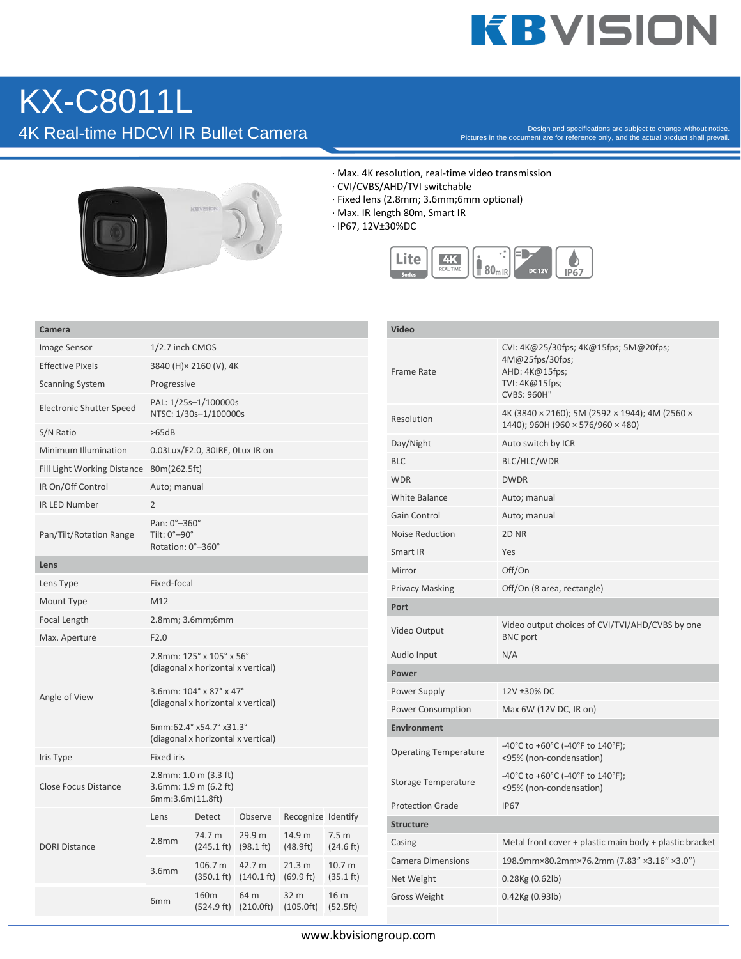## **KBVISION**

## KX-C8011L

Pesign and specifications are subject to change without notice.<br>Pictures in the document are for reference only, and the actual product shall prevail.



- · Max. 4K resolution, real-time video transmission
- · CVI/CVBS/AHD/TVI switchable
- · Fixed lens (2.8mm; 3.6mm;6mm optional)
- · Max. IR length 80m, Smart IR
- · IP67, 12V±30%DC



| Camera                      |                                                                                                                                                            |                                 |                                |                     |                               |
|-----------------------------|------------------------------------------------------------------------------------------------------------------------------------------------------------|---------------------------------|--------------------------------|---------------------|-------------------------------|
| Image Sensor                | 1/2.7 inch CMOS                                                                                                                                            |                                 |                                |                     |                               |
| <b>Effective Pixels</b>     | 3840 (H) × 2160 (V), 4K                                                                                                                                    |                                 |                                |                     |                               |
| <b>Scanning System</b>      | Progressive                                                                                                                                                |                                 |                                |                     |                               |
| Electronic Shutter Speed    | PAL: 1/25s-1/100000s<br>NTSC: 1/30s-1/100000s                                                                                                              |                                 |                                |                     |                               |
| S/N Ratio                   | >65dB                                                                                                                                                      |                                 |                                |                     |                               |
| Minimum Illumination        | 0.03Lux/F2.0, 30IRE, 0Lux IR on                                                                                                                            |                                 |                                |                     |                               |
| Fill Light Working Distance | 80m(262.5ft)                                                                                                                                               |                                 |                                |                     |                               |
| IR On/Off Control           | Auto; manual                                                                                                                                               |                                 |                                |                     |                               |
| <b>IR LED Number</b>        | $\overline{2}$                                                                                                                                             |                                 |                                |                     |                               |
| Pan/Tilt/Rotation Range     | Pan: 0°-360°<br>Tilt: 0°-90°<br>Rotation: 0°-360°                                                                                                          |                                 |                                |                     |                               |
| Lens                        |                                                                                                                                                            |                                 |                                |                     |                               |
| Lens Type                   | Fixed-focal                                                                                                                                                |                                 |                                |                     |                               |
| Mount Type                  | M12                                                                                                                                                        |                                 |                                |                     |                               |
| Focal Length                | 2.8mm; 3.6mm;6mm                                                                                                                                           |                                 |                                |                     |                               |
| Max. Aperture               | F2.0                                                                                                                                                       |                                 |                                |                     |                               |
| Angle of View               | 2.8mm: 125° x 105° x 56°<br>(diagonal x horizontal x vertical)<br>3.6mm: 104° x 87° x 47°<br>(diagonal x horizontal x vertical)<br>6mm:62.4° x54.7° x31.3° |                                 |                                |                     |                               |
|                             | (diagonal x horizontal x vertical)                                                                                                                         |                                 |                                |                     |                               |
| Iris Type                   | <b>Fixed iris</b>                                                                                                                                          |                                 |                                |                     |                               |
| <b>Close Focus Distance</b> | $2.8$ mm: 1.0 m $(3.3 \text{ ft})$<br>3.6mm: 1.9 m (6.2 ft)<br>6mm:3.6m(11.8ft)                                                                            |                                 |                                |                     |                               |
| <b>DORI Distance</b>        | Lens                                                                                                                                                       | Detect                          | Observe                        | Recognize Identify  |                               |
|                             | 2.8 <sub>mm</sub>                                                                                                                                          | 74.7 m<br>$(245.1 \text{ ft})$  | 29.9 m<br>$(98.1 \text{ ft})$  | 14.9 m<br>(48.9ft)  | 7.5 <sub>m</sub><br>(24.6 ft) |
|                             | 3.6mm                                                                                                                                                      | 106.7 m<br>$(350.1 \text{ ft})$ | 42.7 m<br>$(140.1 \text{ ft})$ | 21.3 m<br>(69.9 ft) | 10.7 m<br>$(35.1 \text{ ft})$ |
|                             | 6 <sub>mm</sub>                                                                                                                                            | 160 <sub>m</sub><br>(524.9 ft)  | 64 m<br>(210.0ft)              | 32 m<br>(105.0ft)   | 16 m<br>(52.5ft)              |

| Video                        |                                                                                                                    |  |  |  |
|------------------------------|--------------------------------------------------------------------------------------------------------------------|--|--|--|
| Frame Rate                   | CVI: 4K@25/30fps; 4K@15fps; 5M@20fps;<br>4M@25fps/30fps;<br>AHD: 4K@15fps;<br>TVI: 4K@15fps;<br><b>CVBS: 960H"</b> |  |  |  |
| Resolution                   | 4K (3840 × 2160); 5M (2592 × 1944); 4M (2560 ×<br>1440); 960H (960 × 576/960 × 480)                                |  |  |  |
| Day/Night                    | Auto switch by ICR                                                                                                 |  |  |  |
| <b>BLC</b>                   | BLC/HLC/WDR                                                                                                        |  |  |  |
| <b>WDR</b>                   | <b>DWDR</b>                                                                                                        |  |  |  |
| <b>White Balance</b>         | Auto; manual                                                                                                       |  |  |  |
| Gain Control                 | Auto; manual                                                                                                       |  |  |  |
| Noise Reduction              | 2D <sub>NR</sub>                                                                                                   |  |  |  |
| Smart IR                     | Yes                                                                                                                |  |  |  |
| Mirror                       | Off/On                                                                                                             |  |  |  |
| <b>Privacy Masking</b>       | Off/On (8 area, rectangle)                                                                                         |  |  |  |
| Port                         |                                                                                                                    |  |  |  |
| Video Output                 | Video output choices of CVI/TVI/AHD/CVBS by one<br><b>BNC</b> port                                                 |  |  |  |
| Audio Input                  | N/A                                                                                                                |  |  |  |
| Power                        |                                                                                                                    |  |  |  |
| Power Supply                 | 12V ±30% DC                                                                                                        |  |  |  |
| Power Consumption            | Max 6W (12V DC, IR on)                                                                                             |  |  |  |
| <b>Environment</b>           |                                                                                                                    |  |  |  |
| <b>Operating Temperature</b> | -40°C to +60°C (-40°F to 140°F);<br><95% (non-condensation)                                                        |  |  |  |
| <b>Storage Temperature</b>   | -40°C to +60°C (-40°F to 140°F);<br><95% (non-condensation)                                                        |  |  |  |
| <b>Protection Grade</b>      | <b>IP67</b>                                                                                                        |  |  |  |
| <b>Structure</b>             |                                                                                                                    |  |  |  |
| Casing                       | Metal front cover + plastic main body + plastic bracket                                                            |  |  |  |
| <b>Camera Dimensions</b>     | 198.9mm×80.2mm×76.2mm (7.83" ×3.16" ×3.0")                                                                         |  |  |  |
| Net Weight                   | 0.28Kg (0.62lb)                                                                                                    |  |  |  |
| <b>Gross Weight</b>          | 0.42Kg (0.93lb)                                                                                                    |  |  |  |